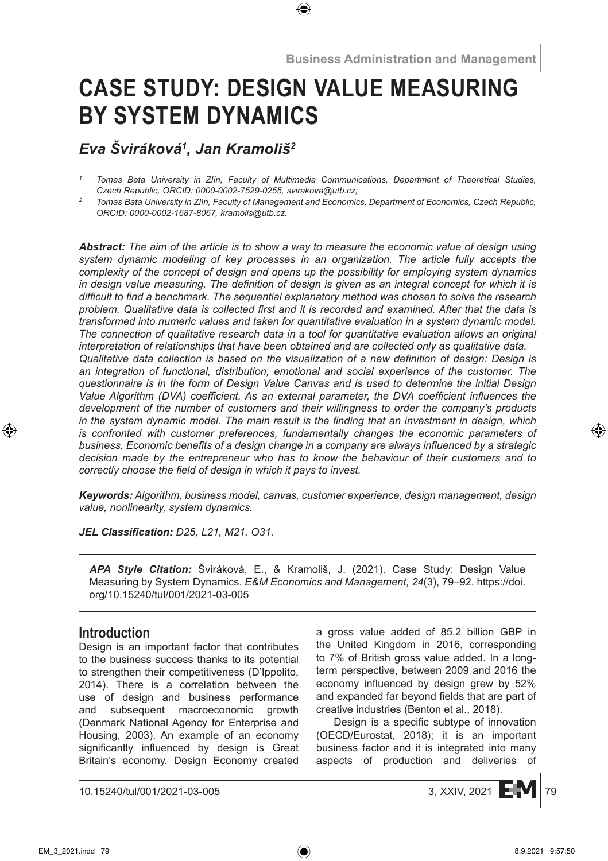# **CASE STUDY: DESIGN VALUE MEASURING BY SYSTEM DYNAMICS**

# *Eva Šviráková<sup>1</sup> , Jan Kramoliš<sup>2</sup>*

*Abstract: The aim of the article is to show a way to measure the economic value of design using system dynamic modeling of key processes in an organization. The article fully accepts the complexity of the concept of design and opens up the possibility for employing system dynamics in design value measuring. The definition of design is given as an integral concept for which it is difficult to find a benchmark. The sequential explanatory method was chosen to solve the research problem. Qualitative data is collected first and it is recorded and examined. After that the data is transformed into numeric values and taken for quantitative evaluation in a system dynamic model. The connection of qualitative research data in a tool for quantitative evaluation allows an original interpretation of relationships that have been obtained and are collected only as qualitative data. Qualitative data collection is based on the visualization of a new definition of design: Design is an integration of functional, distribution, emotional and social experience of the customer. The questionnaire is in the form of Design Value Canvas and is used to determine the initial Design Value Algorithm (DVA) coefficient. As an external parameter, the DVA coefficient influences the development of the number of customers and their willingness to order the company's products in the system dynamic model. The main result is the finding that an investment in design, which is confronted with customer preferences, fundamentally changes the economic parameters of business. Economic benefits of a design change in a company are always influenced by a strategic decision made by the entrepreneur who has to know the behaviour of their customers and to correctly choose the field of design in which it pays to invest.*

*Keywords: Algorithm, business model, canvas, customer experience, design management, design value, nonlinearity, system dynamics.*

*JEL Classification: D25, L21, M21, O31.*

*APA Style Citation:* Šviráková, E., & Kramoliš, J. (2021). Case Study: Design Value Measuring by System Dynamics. *E&M Economics and Management, 24*(3), 79–92. https://doi. org/10.15240/tul/001/2021-03-005

# **Introduction**

Design is an important factor that contributes to the business success thanks to its potential to strengthen their competitiveness (D'Ippolito, 2014). There is a correlation between the use of design and business performance and subsequent macroeconomic growth (Denmark National Agency for Enterprise and Housing, 2003). An example of an economy significantly influenced by design is Great Britain's economy. Design Economy created a gross value added of 85.2 billion GBP in the United Kingdom in 2016, corresponding to 7% of British gross value added. In a longterm perspective, between 2009 and 2016 the economy influenced by design grew by 52% and expanded far beyond fields that are part of creative industries (Benton et al., 2018).

Design is a specific subtype of innovation (OECD/Eurostat, 2018); it is an important business factor and it is integrated into many aspects of production and deliveries of



*<sup>1</sup> Tomas Bata University in Zlín, Faculty of Multimedia Communications, Department of Theoretical Studies, Czech Republic, ORCID: 0000-0002-7529-0255, svirakova@utb.cz;*

*<sup>2</sup> Tomas Bata University in Zlín, Faculty of Management and Economics, Department of Economics, Czech Republic, ORCID: 0000-0002-1687-8067, kramolis@utb.cz.*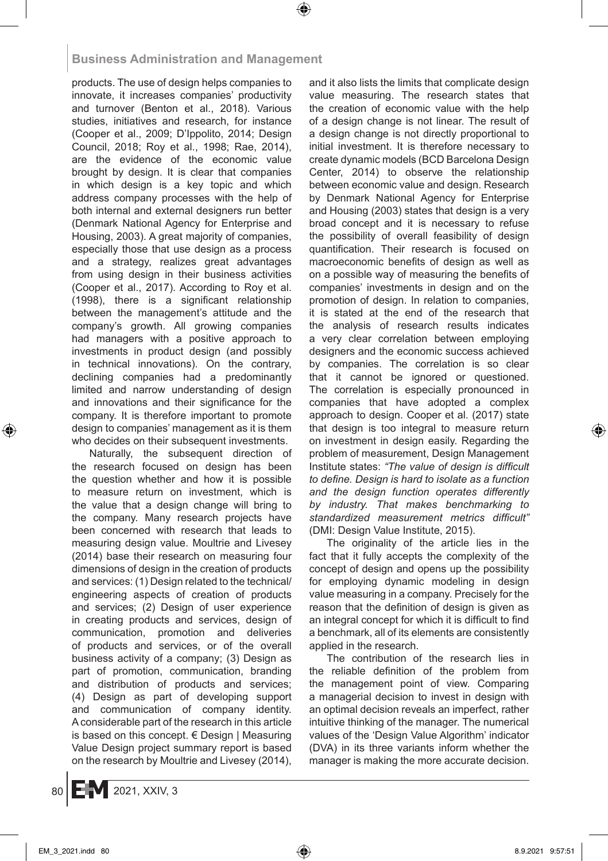products. The use of design helps companies to innovate, it increases companies' productivity and turnover (Benton et al., 2018). Various studies, initiatives and research, for instance (Cooper et al., 2009; D'Ippolito, 2014; Design Council, 2018; Roy et al., 1998; Rae, 2014), are the evidence of the economic value brought by design. It is clear that companies in which design is a key topic and which address company processes with the help of both internal and external designers run better (Denmark National Agency for Enterprise and Housing, 2003). A great majority of companies, especially those that use design as a process and a strategy, realizes great advantages from using design in their business activities (Cooper et al., 2017). According to Roy et al. (1998), there is a significant relationship between the management's attitude and the company's growth. All growing companies had managers with a positive approach to investments in product design (and possibly in technical innovations). On the contrary, declining companies had a predominantly limited and narrow understanding of design and innovations and their significance for the company. It is therefore important to promote design to companies' management as it is them who decides on their subsequent investments.

Naturally, the subsequent direction of the research focused on design has been the question whether and how it is possible to measure return on investment, which is the value that a design change will bring to the company. Many research projects have been concerned with research that leads to measuring design value. Moultrie and Livesey (2014) base their research on measuring four dimensions of design in the creation of products and services: (1) Design related to the technical/ engineering aspects of creation of products and services; (2) Design of user experience in creating products and services, design of communication, promotion and deliveries of products and services, or of the overall business activity of a company; (3) Design as part of promotion, communication, branding and distribution of products and services; (4) Design as part of developing support and communication of company identity. Aconsiderable part of the research in this article is based on this concept.  $\epsilon$  Design | Measuring Value Design project summary report is based on the research by Moultrie and Livesey (2014), and it also lists the limits that complicate design value measuring. The research states that the creation of economic value with the help of a design change is not linear. The result of a design change is not directly proportional to initial investment. It is therefore necessary to create dynamic models (BCD Barcelona Design Center, 2014) to observe the relationship between economic value and design. Research by Denmark National Agency for Enterprise and Housing (2003) states that design is a very broad concept and it is necessary to refuse the possibility of overall feasibility of design quantification. Their research is focused on macroeconomic benefits of design as well as on a possible way of measuring the benefits of companies' investments in design and on the promotion of design. In relation to companies, it is stated at the end of the research that the analysis of research results indicates a very clear correlation between employing designers and the economic success achieved by companies. The correlation is so clear that it cannot be ignored or questioned. The correlation is especially pronounced in companies that have adopted a complex approach to design. Cooper et al. (2017) state that design is too integral to measure return on investment in design easily. Regarding the problem of measurement, Design Management Institute states: *"The value of design is difficult to define. Design is hard to isolate as a function and the design function operates differently by industry. That makes benchmarking to standardized measurement metrics difficult"* (DMI: Design Value Institute, 2015).

The originality of the article lies in the fact that it fully accepts the complexity of the concept of design and opens up the possibility for employing dynamic modeling in design value measuring in a company. Precisely for the reason that the definition of design is given as an integral concept for which it is difficult to find a benchmark, all of its elements are consistently applied in the research.

The contribution of the research lies in the reliable definition of the problem from the management point of view. Comparing a managerial decision to invest in design with an optimal decision reveals an imperfect, rather intuitive thinking of the manager. The numerical values of the 'Design Value Algorithm' indicator (DVA) in its three variants inform whether the manager is making the more accurate decision.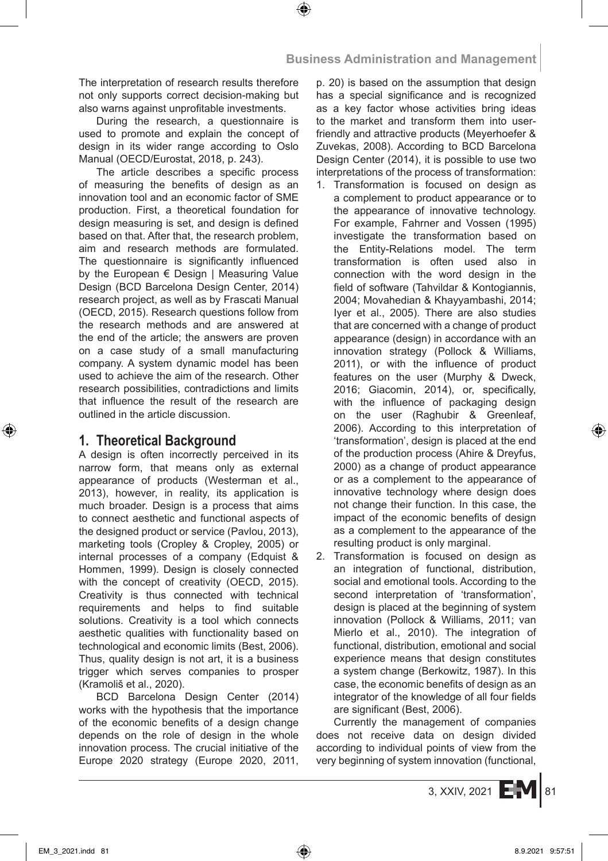The interpretation of research results therefore not only supports correct decision-making but also warns against unprofitable investments.

During the research, a questionnaire is used to promote and explain the concept of design in its wider range according to Oslo Manual (OECD/Eurostat, 2018, p. 243).

The article describes a specific process of measuring the benefits of design as an innovation tool and an economic factor of SME production. First, a theoretical foundation for design measuring is set, and design is defined based on that. After that, the research problem, aim and research methods are formulated. The questionnaire is significantly influenced by the European € Design | Measuring Value Design (BCD Barcelona Design Center, 2014) research project, as well as by Frascati Manual (OECD, 2015). Research questions follow from the research methods and are answered at the end of the article; the answers are proven on a case study of a small manufacturing company. A system dynamic model has been used to achieve the aim of the research. Other research possibilities, contradictions and limits that influence the result of the research are outlined in the article discussion.

# **1. Theoretical Background**

A design is often incorrectly perceived in its narrow form, that means only as external appearance of products (Westerman et al., 2013), however, in reality, its application is much broader. Design is a process that aims to connect aesthetic and functional aspects of the designed product or service (Pavlou, 2013), marketing tools (Cropley & Cropley, 2005) or internal processes of a company (Edquist & Hommen, 1999). Design is closely connected with the concept of creativity (OECD, 2015). Creativity is thus connected with technical requirements and helps to find suitable solutions. Creativity is a tool which connects aesthetic qualities with functionality based on technological and economic limits (Best, 2006). Thus, quality design is not art, it is a business trigger which serves companies to prosper (Kramoliš et al., 2020).

BCD Barcelona Design Center (2014) works with the hypothesis that the importance of the economic benefits of a design change depends on the role of design in the whole innovation process. The crucial initiative of the Europe 2020 strategy (Europe 2020, 2011, p. 20) is based on the assumption that design has a special significance and is recognized as a key factor whose activities bring ideas to the market and transform them into userfriendly and attractive products (Meyerhoefer & Zuvekas, 2008). According to BCD Barcelona Design Center (2014), it is possible to use two interpretations of the process of transformation:

- 1. Transformation is focused on design as a complement to product appearance or to the appearance of innovative technology. For example, Fahrner and Vossen (1995) investigate the transformation based on the Entity-Relations model. The term transformation is often used also in connection with the word design in the field of software (Tahvildar & Kontogiannis, 2004; Movahedian & Khayyambashi, 2014; Iyer et al., 2005). There are also studies that are concerned with a change of product appearance (design) in accordance with an innovation strategy (Pollock & Williams, 2011), or with the influence of product features on the user (Murphy & Dweck, 2016; Giacomin, 2014), or, specifically, with the influence of packaging design on the user (Raghubir & Greenleaf, 2006). According to this interpretation of 'transformation', design is placed at the end of the production process (Ahire & Dreyfus, 2000) as a change of product appearance or as a complement to the appearance of innovative technology where design does not change their function. In this case, the impact of the economic benefits of design as a complement to the appearance of the resulting product is only marginal.
- 2. Transformation is focused on design as an integration of functional, distribution, social and emotional tools. According to the second interpretation of 'transformation', design is placed at the beginning of system innovation (Pollock & Williams, 2011; van Mierlo et al., 2010). The integration of functional, distribution, emotional and social experience means that design constitutes a system change (Berkowitz, 1987). In this case, the economic benefits of design as an integrator of the knowledge of all four fields are significant (Best, 2006).

Currently the management of companies does not receive data on design divided according to individual points of view from the very beginning of system innovation (functional,

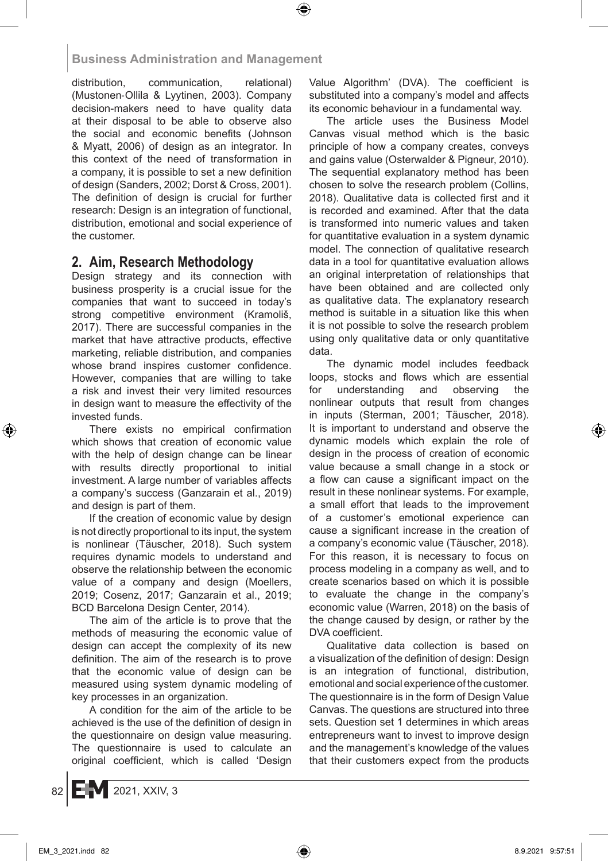distribution, communication, relational) (Mustonen-Ollila & Lyytinen, 2003). Company decision-makers need to have quality data at their disposal to be able to observe also the social and economic benefits (Johnson & Myatt, 2006) of design as an integrator. In this context of the need of transformation in a company, it is possible to set a new definition of design (Sanders, 2002; Dorst & Cross, 2001). The definition of design is crucial for further research: Design is an integration of functional, distribution, emotional and social experience of the customer.

# **2. Aim, Research Methodology**

Design strategy and its connection with business prosperity is a crucial issue for the companies that want to succeed in today's strong competitive environment (Kramoliš, 2017). There are successful companies in the market that have attractive products, effective marketing, reliable distribution, and companies whose brand inspires customer confidence. However, companies that are willing to take a risk and invest their very limited resources in design want to measure the effectivity of the invested funds.

There exists no empirical confirmation which shows that creation of economic value with the help of design change can be linear with results directly proportional to initial investment. A large number of variables affects a company's success (Ganzarain et al., 2019) and design is part of them.

If the creation of economic value by design is not directly proportional to its input, the system is nonlinear (Täuscher, 2018). Such system requires dynamic models to understand and observe the relationship between the economic value of a company and design (Moellers, 2019; Cosenz, 2017; Ganzarain et al., 2019; BCD Barcelona Design Center, 2014).

The aim of the article is to prove that the methods of measuring the economic value of design can accept the complexity of its new definition. The aim of the research is to prove that the economic value of design can be measured using system dynamic modeling of key processes in an organization.

A condition for the aim of the article to be achieved is the use of the definition of design in the questionnaire on design value measuring. The questionnaire is used to calculate an original coefficient, which is called 'Design Value Algorithm' (DVA). The coefficient is substituted into a company's model and affects its economic behaviour in a fundamental way.

The article uses the Business Model Canvas visual method which is the basic principle of how a company creates, conveys and gains value (Osterwalder & Pigneur, 2010). The sequential explanatory method has been chosen to solve the research problem (Collins, 2018). Qualitative data is collected first and it is recorded and examined. After that the data is transformed into numeric values and taken for quantitative evaluation in a system dynamic model. The connection of qualitative research data in a tool for quantitative evaluation allows an original interpretation of relationships that have been obtained and are collected only as qualitative data. The explanatory research method is suitable in a situation like this when it is not possible to solve the research problem using only qualitative data or only quantitative data.

The dynamic model includes feedback loops, stocks and flows which are essential for understanding and observing the nonlinear outputs that result from changes in inputs (Sterman, 2001; Täuscher, 2018). It is important to understand and observe the dynamic models which explain the role of design in the process of creation of economic value because a small change in a stock or a flow can cause a significant impact on the result in these nonlinear systems. For example, a small effort that leads to the improvement of a customer's emotional experience can cause a significant increase in the creation of a company's economic value (Täuscher, 2018). For this reason, it is necessary to focus on process modeling in a company as well, and to create scenarios based on which it is possible to evaluate the change in the company's economic value (Warren, 2018) on the basis of the change caused by design, or rather by the DVA coefficient.

Qualitative data collection is based on a visualization of the definition of design: Design is an integration of functional, distribution, emotional and social experience of the customer. The questionnaire is in the form of Design Value Canvas. The questions are structured into three sets. Question set 1 determines in which areas entrepreneurs want to invest to improve design and the management's knowledge of the values that their customers expect from the products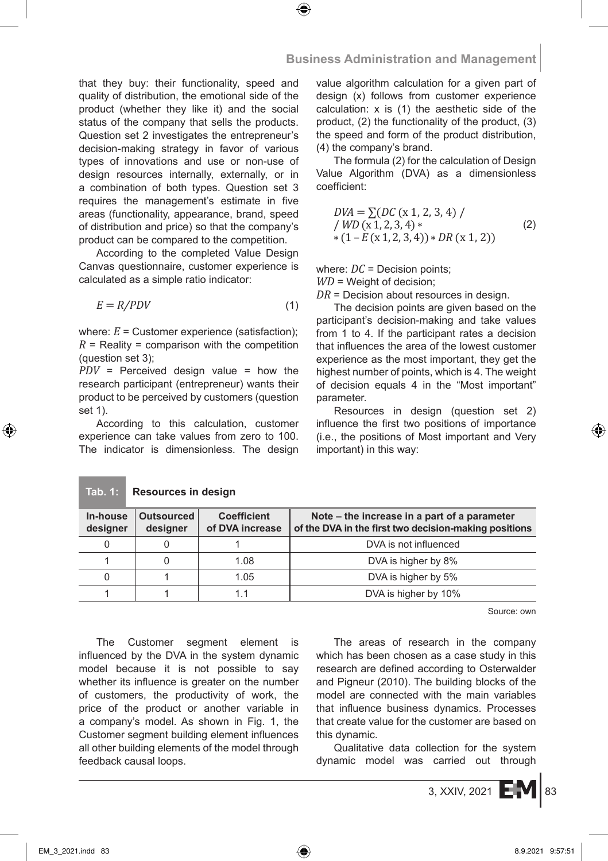that they buy: their functionality, speed and quality of distribution, the emotional side of the product (whether they like it) and the social status of the company that sells the products. Question set 2 investigates the entrepreneur's decision-making strategy in favor of various types of innovations and use or non-use of design resources internally, externally, or in a combination of both types. Question set 3 requires the management's estimate in five areas (functionality, appearance, brand, speed of distribution and price) so that the company's product can be compared to the competition.

According to the completed Value Design Canvas questionnaire, customer experience is calculated as a simple ratio indicator:

$$
E = R/PDV \tag{1}
$$

where:  $E =$  Customer experience (satisfaction);  $R$  = Reality = comparison with the competition (question set 3);

*PDV* = Perceived design value = how the research participant (entrepreneur) wants their product to be perceived by customers (question set 1).

According to this calculation, customer experience can take values from zero to 100. The indicator is dimensionless. The design

**Tab. 1: Resources in design**

value algorithm calculation for a given part of design (x) follows from customer experience calculation: x is (1) the aesthetic side of the product, (2) the functionality of the product, (3) the speed and form of the product distribution, (4) the company's brand.

The formula (2) for the calculation of Design Value Algorithm (DVA) as a dimensionless coefficient:

$$
DWA = \sum (DC (x 1, 2, 3, 4) / \ WD (x 1, 2, 3, 4) * \n*(1 - E (x 1, 2, 3, 4)) * DR (x 1, 2))
$$
\n(2)

where:  $DC =$  Decision points: *WD* = Weight of decision;

*DR* = Decision about resources in design.

The decision points are given based on the participant's decision-making and take values from 1 to 4. If the participant rates a decision that influences the area of the lowest customer experience as the most important, they get the highest number of points, which is 4. The weight of decision equals 4 in the "Most important" parameter.

Resources in design (question set 2) influence the first two positions of importance (i.e., the positions of Most important and Very important) in this way:

| In-house<br>designer | Outsourced<br>designer | <b>Coefficient</b><br>of DVA increase | Note – the increase in a part of a parameter<br>of the DVA in the first two decision-making positions |  |  |  |
|----------------------|------------------------|---------------------------------------|-------------------------------------------------------------------------------------------------------|--|--|--|
|                      |                        |                                       | DVA is not influenced                                                                                 |  |  |  |
|                      |                        | 1.08                                  | DVA is higher by 8%                                                                                   |  |  |  |
|                      |                        | 1.05                                  | DVA is higher by 5%                                                                                   |  |  |  |
|                      |                        |                                       | DVA is higher by 10%                                                                                  |  |  |  |

Source: own

The Customer segment element is influenced by the DVA in the system dynamic model because it is not possible to say whether its influence is greater on the number of customers, the productivity of work, the price of the product or another variable in a company's model. As shown in Fig. 1, the Customer segment building element influences all other building elements of the model through feedback causal loops.

The areas of research in the company which has been chosen as a case study in this research are defined according to Osterwalder and Pigneur (2010). The building blocks of the model are connected with the main variables that influence business dynamics. Processes that create value for the customer are based on this dynamic.

Qualitative data collection for the system dynamic model was carried out through

 $3,$  XXIV, 2021  $E$ <sup>M</sup> 83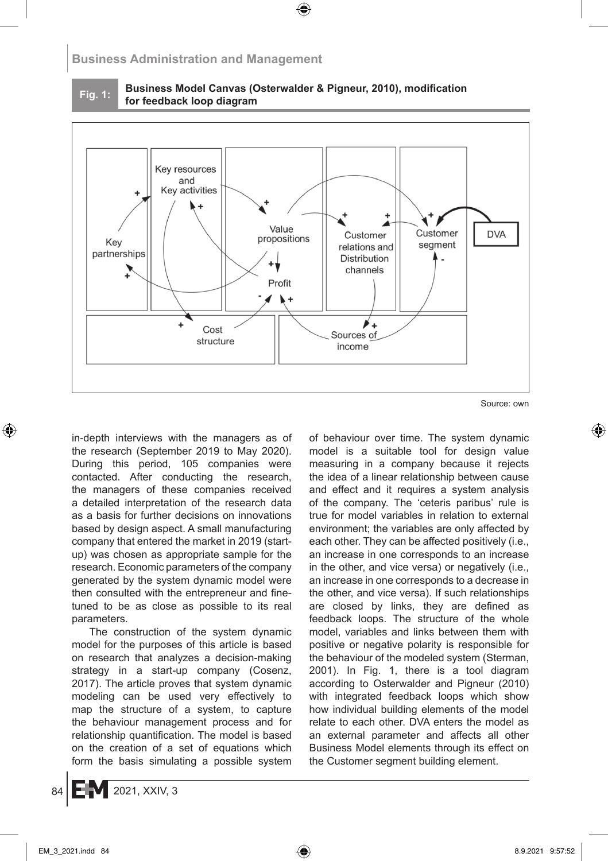

**Fig. 1: Business Model Canvas (Osterwalder & Pigneur, 2010), modification for feedback loop diagram**



Source: own

in-depth interviews with the managers as of the research (September 2019 to May 2020). During this period, 105 companies were contacted. After conducting the research, the managers of these companies received a detailed interpretation of the research data as a basis for further decisions on innovations based by design aspect. A small manufacturing company that entered the market in 2019 (startup) was chosen as appropriate sample for the research. Economic parameters of the company generated by the system dynamic model were then consulted with the entrepreneur and finetuned to be as close as possible to its real parameters.

The construction of the system dynamic model for the purposes of this article is based on research that analyzes a decision-making strategy in a start-up company (Cosenz, 2017). The article proves that system dynamic modeling can be used very effectively to map the structure of a system, to capture the behaviour management process and for relationship quantification. The model is based on the creation of a set of equations which form the basis simulating a possible system of behaviour over time. The system dynamic model is a suitable tool for design value measuring in a company because it rejects the idea of a linear relationship between cause and effect and it requires a system analysis of the company. The 'ceteris paribus' rule is true for model variables in relation to external environment; the variables are only affected by each other. They can be affected positively (i.e., an increase in one corresponds to an increase in the other, and vice versa) or negatively (i.e., an increase in one corresponds to a decrease in the other, and vice versa). If such relationships are closed by links, they are defined as feedback loops. The structure of the whole model, variables and links between them with positive or negative polarity is responsible for the behaviour of the modeled system (Sterman, 2001). In Fig. 1, there is a tool diagram according to Osterwalder and Pigneur (2010) with integrated feedback loops which show how individual building elements of the model relate to each other. DVA enters the model as an external parameter and affects all other Business Model elements through its effect on the Customer segment building element.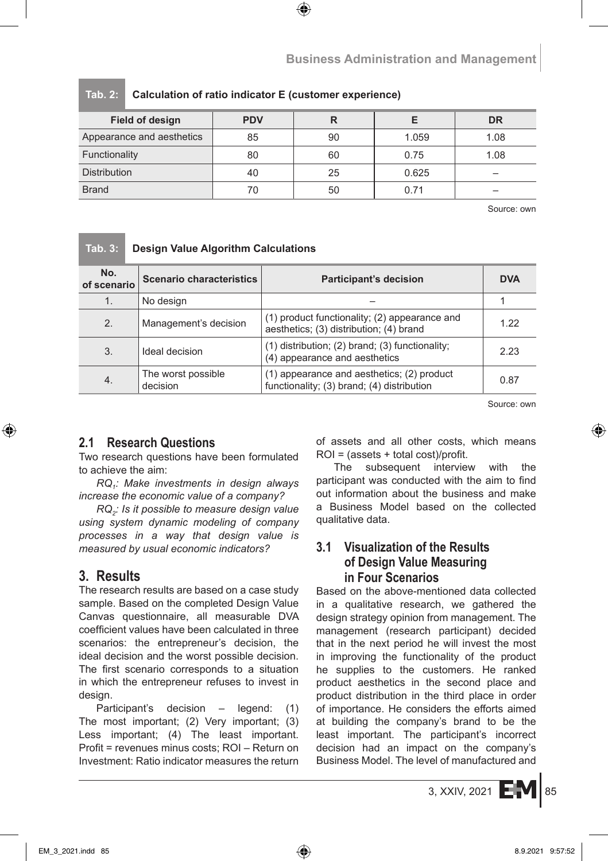| <b>Field of design</b>    | <b>PDV</b> |    |       | <b>DR</b> |
|---------------------------|------------|----|-------|-----------|
| Appearance and aesthetics | 85         | 90 | 1.059 | 1.08      |
| Functionality             | 80         | 60 | 0.75  | 1.08      |
| <b>Distribution</b>       | 40         | 25 | 0.625 |           |
| <b>Brand</b>              | 70         | 50 | 0.71  |           |

#### **Tab. 2: Calculation of ratio indicator E (customer experience)**

Source: own

## **Tab. 3: Design Value Algorithm Calculations**

| No.<br>of scenario | <b>Scenario characteristics</b> | <b>Participant's decision</b>                                                            | <b>DVA</b> |
|--------------------|---------------------------------|------------------------------------------------------------------------------------------|------------|
| 1.                 | No design                       |                                                                                          |            |
| 2.                 | Management's decision           | (1) product functionality; (2) appearance and<br>aesthetics; (3) distribution; (4) brand | 1 22       |
| 3.                 | Ideal decision                  | $(1)$ distribution; $(2)$ brand; $(3)$ functionality;<br>(4) appearance and aesthetics   | 2.23       |
| 4.                 | The worst possible<br>decision  | (1) appearance and aesthetics; (2) product<br>functionality; (3) brand; (4) distribution | 0.87       |

Source: own

# **2.1 Research Questions**

Two research questions have been formulated to achieve the aim:

*RQ1: Make investments in design always increase the economic value of a company?*

*RQ2: Is it possible to measure design value using system dynamic modeling of company processes in a way that design value is measured by usual economic indicators?*

# **3. Results**

The research results are based on a case study sample. Based on the completed Design Value Canvas questionnaire, all measurable DVA coefficient values have been calculated in three scenarios: the entrepreneur's decision, the ideal decision and the worst possible decision. The first scenario corresponds to a situation in which the entrepreneur refuses to invest in design.

Participant's decision – legend: (1) The most important; (2) Very important; (3) Less important; (4) The least important. Profit = revenues minus costs; ROI – Return on Investment: Ratio indicator measures the return of assets and all other costs, which means ROI = (assets + total cost)/profit.

The subsequent interview with the participant was conducted with the aim to find out information about the business and make a Business Model based on the collected qualitative data.

## **3.1 Visualization of the Results of Design Value Measuring in Four Scenarios**

Based on the above-mentioned data collected in a qualitative research, we gathered the design strategy opinion from management. The management (research participant) decided that in the next period he will invest the most in improving the functionality of the product he supplies to the customers. He ranked product aesthetics in the second place and product distribution in the third place in order of importance. He considers the efforts aimed at building the company's brand to be the least important. The participant's incorrect decision had an impact on the company's Business Model. The level of manufactured and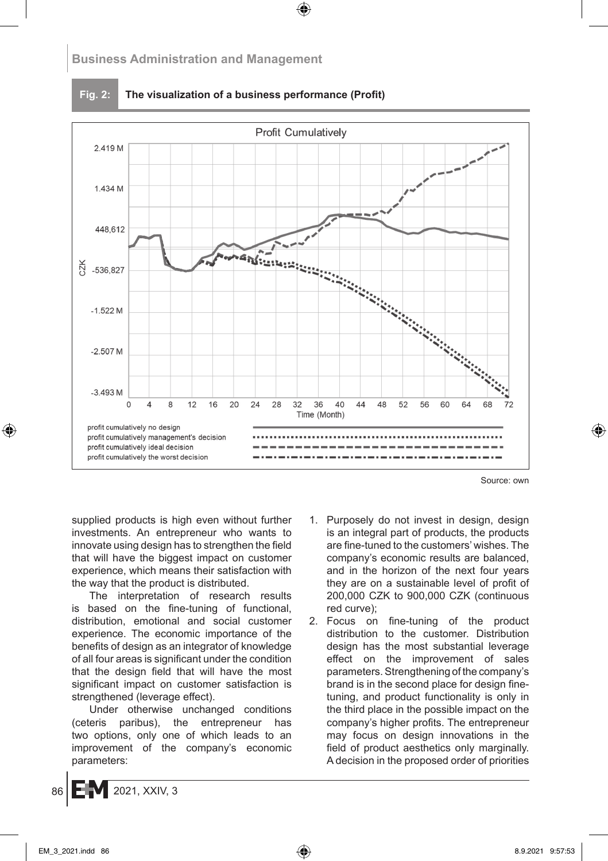

**Fig. 2: The visualization of a business performance (Profit)**

Source: own

supplied products is high even without further investments. An entrepreneur who wants to innovate using design has to strengthen the field that will have the biggest impact on customer experience, which means their satisfaction with the way that the product is distributed.

The interpretation of research results is based on the fine-tuning of functional, distribution, emotional and social customer experience. The economic importance of the benefits of design as an integrator of knowledge of all four areas is significant under the condition that the design field that will have the most significant impact on customer satisfaction is strengthened (leverage effect).

Under otherwise unchanged conditions (ceteris paribus), the entrepreneur has two options, only one of which leads to an improvement of the company's economic parameters:

- 1. Purposely do not invest in design, design is an integral part of products, the products are fine-tuned to the customers' wishes. The company's economic results are balanced, and in the horizon of the next four years they are on a sustainable level of profit of 200,000 CZK to 900,000 CZK (continuous red curve);
- 2. Focus on fine-tuning of the product distribution to the customer. Distribution design has the most substantial leverage effect on the improvement of sales parameters. Strengthening of the company's brand is in the second place for design finetuning, and product functionality is only in the third place in the possible impact on the company's higher profits. The entrepreneur may focus on design innovations in the field of product aesthetics only marginally. A decision in the proposed order of priorities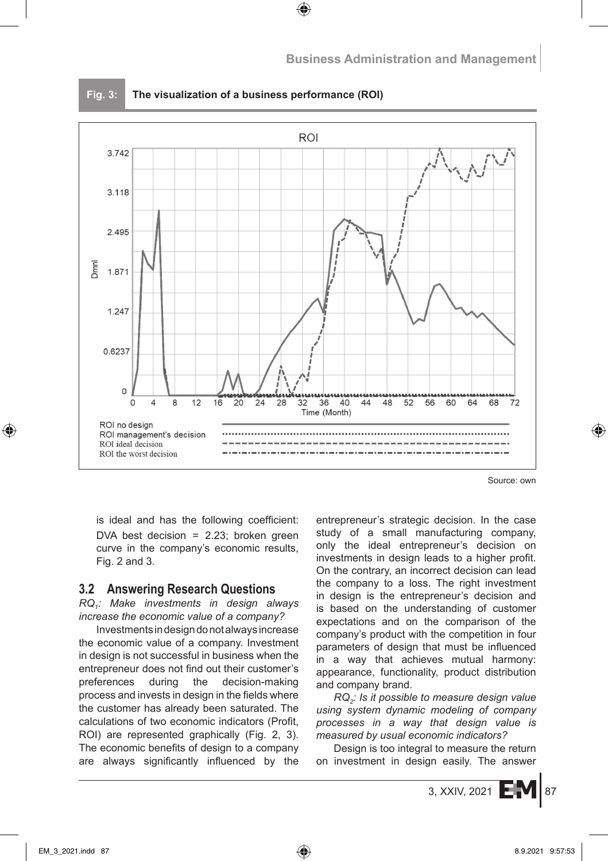

**Fig. 3: The visualization of a business performance (ROI)**

Source: own

is ideal and has the following coefficient: DVA best decision = 2.23; broken green curve in the company's economic results, Fig. 2 and 3.

## **3.2 Answering Research Questions**

*RQ1: Make investments in design always increase the economic value of a company?*

Investments in design donot always increase the economic value of a company. Investment in design is not successful in business when the entrepreneur does not find out their customer's preferences during the decision-making process and invests in design in the fields where the customer has already been saturated. The calculations of two economic indicators (Profit, ROI) are represented graphically (Fig. 2, 3). The economic benefits of design to a company are always significantly influenced by the entrepreneur's strategic decision. In the case study of a small manufacturing company, only the ideal entrepreneur's decision on investments in design leads to a higher profit. On the contrary, an incorrect decision can lead the company to a loss. The right investment in design is the entrepreneur's decision and is based on the understanding of customer expectations and on the comparison of the company's product with the competition in four parameters of design that must be influenced in a way that achieves mutual harmony: appearance, functionality, product distribution and company brand.

*RQ2: Is it possible to measure design value using system dynamic modeling of company processes in a way that design value is measured by usual economic indicators?*

Design is too integral to measure the return on investment in design easily. The answer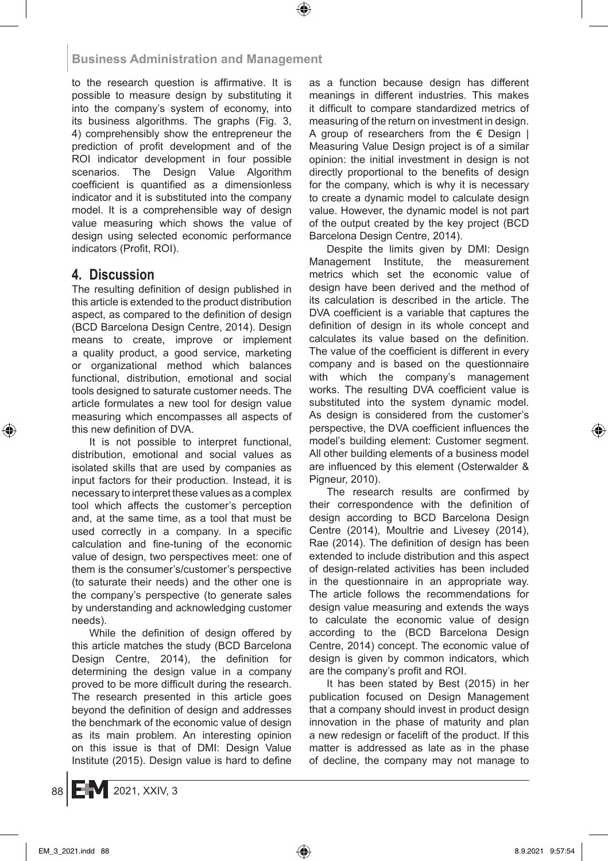to the research question is affirmative. It is possible to measure design by substituting it into the company's system of economy, into its business algorithms. The graphs (Fig. 3, 4) comprehensibly show the entrepreneur the prediction of profit development and of the ROI indicator development in four possible scenarios. The Design Value Algorithm coefficient is quantified as a dimensionless indicator and it is substituted into the company model. It is a comprehensible way of design value measuring which shows the value of design using selected economic performance indicators (Profit, ROI).

# **4. Discussion**

The resulting definition of design published in this article is extended to the product distribution aspect, as compared to the definition of design (BCD Barcelona Design Centre, 2014). Design means to create, improve or implement a quality product, a good service, marketing or organizational method which balances functional, distribution, emotional and social tools designed to saturate customer needs. The article formulates a new tool for design value measuring which encompasses all aspects of this new definition of DVA.

It is not possible to interpret functional, distribution, emotional and social values as isolated skills that are used by companies as input factors for their production. Instead, it is necessary to interpret these values as a complex tool which affects the customer's perception and, at the same time, as a tool that must be used correctly in a company. In a specific calculation and fine-tuning of the economic value of design, two perspectives meet: one of them is the consumer's/customer's perspective (to saturate their needs) and the other one is the company's perspective (to generate sales by understanding and acknowledging customer needs).

While the definition of design offered by this article matches the study (BCD Barcelona Design Centre, 2014), the definition for determining the design value in a company proved to be more difficult during the research. The research presented in this article goes beyond the definition of design and addresses the benchmark of the economic value of design as its main problem. An interesting opinion on this issue is that of DMI: Design Value Institute (2015). Design value is hard to define as a function because design has different meanings in different industries. This makes it difficult to compare standardized metrics of measuring of the return on investment in design. A group of researchers from the  $\epsilon$  Design | Measuring Value Design project is of a similar opinion: the initial investment in design is not directly proportional to the benefits of design for the company, which is why it is necessary to create a dynamic model to calculate design value. However, the dynamic model is not part of the output created by the key project (BCD Barcelona Design Centre, 2014).

Despite the limits given by DMI: Design Management Institute, the measurement metrics which set the economic value of design have been derived and the method of its calculation is described in the article. The DVA coefficient is a variable that captures the definition of design in its whole concept and calculates its value based on the definition. The value of the coefficient is different in every company and is based on the questionnaire with which the company's management works. The resulting DVA coefficient value is substituted into the system dynamic model. As design is considered from the customer's perspective, the DVA coefficient influences the model's building element: Customer segment. All other building elements of a business model are influenced by this element (Osterwalder & Pigneur, 2010).

The research results are confirmed by their correspondence with the definition of design according to BCD Barcelona Design Centre (2014), Moultrie and Livesey (2014), Rae (2014). The definition of design has been extended to include distribution and this aspect of design-related activities has been included in the questionnaire in an appropriate way. The article follows the recommendations for design value measuring and extends the ways to calculate the economic value of design according to the (BCD Barcelona Design Centre, 2014) concept. The economic value of design is given by common indicators, which are the company's profit and ROI.

It has been stated by Best (2015) in her publication focused on Design Management that a company should invest in product design innovation in the phase of maturity and plan a new redesign or facelift of the product. If this matter is addressed as late as in the phase of decline, the company may not manage to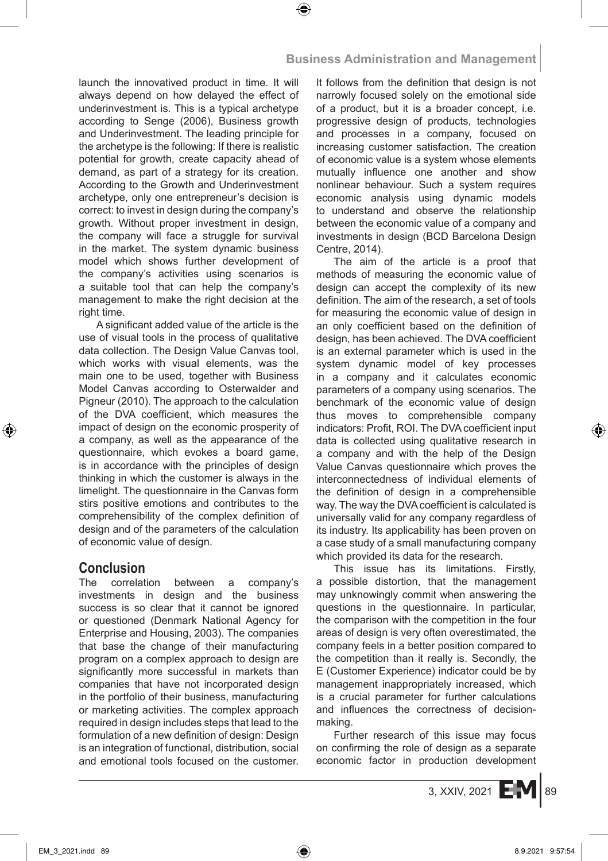launch the innovatived product in time. It will always depend on how delayed the effect of underinvestment is. This is a typical archetype according to Senge (2006), Business growth and Underinvestment. The leading principle for the archetype is the following: If there is realistic potential for growth, create capacity ahead of demand, as part of a strategy for its creation. According to the Growth and Underinvestment archetype, only one entrepreneur's decision is correct: to invest in design during the company's growth. Without proper investment in design, the company will face a struggle for survival in the market. The system dynamic business model which shows further development of the company's activities using scenarios is a suitable tool that can help the company's management to make the right decision at the right time.

A significant added value of the article is the use of visual tools in the process of qualitative data collection. The Design Value Canvas tool, which works with visual elements, was the main one to be used, together with Business Model Canvas according to Osterwalder and Pigneur (2010). The approach to the calculation of the DVA coefficient, which measures the impact of design on the economic prosperity of a company, as well as the appearance of the questionnaire, which evokes a board game, is in accordance with the principles of design thinking in which the customer is always in the limelight. The questionnaire in the Canvas form stirs positive emotions and contributes to the comprehensibility of the complex definition of design and of the parameters of the calculation of economic value of design.

# **Conclusion**

The correlation between a company's investments in design and the business success is so clear that it cannot be ignored or questioned (Denmark National Agency for Enterprise and Housing, 2003). The companies that base the change of their manufacturing program on a complex approach to design are significantly more successful in markets than companies that have not incorporated design in the portfolio of their business, manufacturing or marketing activities. The complex approach required in design includes steps that lead to the formulation of a new definition of design: Design is an integration of functional, distribution, social and emotional tools focused on the customer. It follows from the definition that design is not narrowly focused solely on the emotional side of a product, but it is a broader concept, i.e. progressive design of products, technologies and processes in a company, focused on increasing customer satisfaction. The creation of economic value is a system whose elements mutually influence one another and show nonlinear behaviour. Such a system requires economic analysis using dynamic models to understand and observe the relationship between the economic value of a company and investments in design (BCD Barcelona Design Centre, 2014).

The aim of the article is a proof that methods of measuring the economic value of design can accept the complexity of its new definition. The aim of the research, a set of tools for measuring the economic value of design in an only coefficient based on the definition of design, has been achieved. The DVA coefficient is an external parameter which is used in the system dynamic model of key processes in a company and it calculates economic parameters of a company using scenarios. The benchmark of the economic value of design thus moves to comprehensible company indicators: Profit, ROI. The DVA coefficient input data is collected using qualitative research in a company and with the help of the Design Value Canvas questionnaire which proves the interconnectedness of individual elements of the definition of design in a comprehensible way. The way the DVA coefficient is calculated is universally valid for any company regardless of its industry. Its applicability has been proven on a case study of a small manufacturing company which provided its data for the research.

This issue has its limitations. Firstly, a possible distortion, that the management may unknowingly commit when answering the questions in the questionnaire. In particular, the comparison with the competition in the four areas of design is very often overestimated, the company feels in a better position compared to the competition than it really is. Secondly, the E (Customer Experience) indicator could be by management inappropriately increased, which is a crucial parameter for further calculations and influences the correctness of decisionmaking.

Further research of this issue may focus on confirming the role of design as a separate economic factor in production development

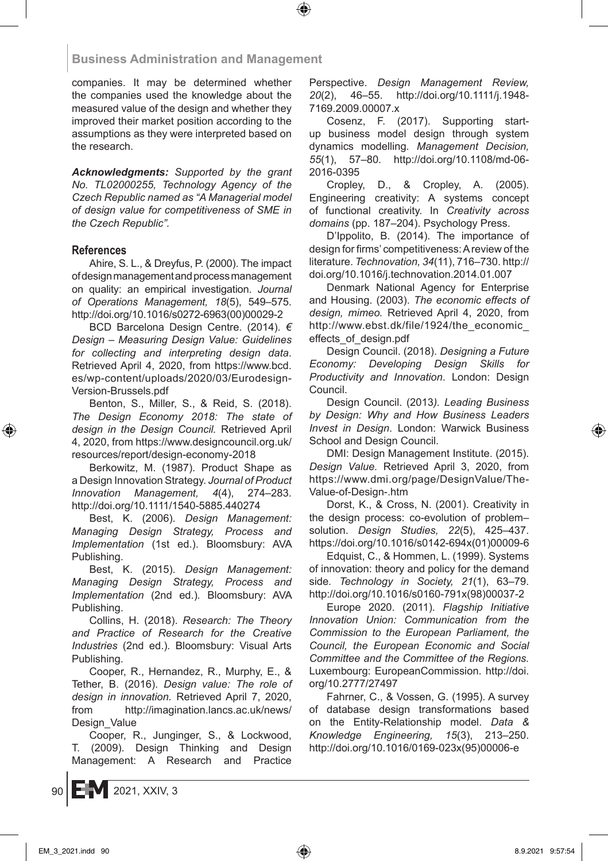companies. It may be determined whether the companies used the knowledge about the measured value of the design and whether they improved their market position according to the assumptions as they were interpreted based on the research.

*Acknowledgments: Supported by the grant No. TL02000255, Technology Agency of the Czech Republic named as "A Managerial model of design value for competitiveness of SME in the Czech Republic".*

#### **References**

Ahire, S. L., & Dreyfus, P. (2000). The impact of design management and process management on quality: an empirical investigation*. Journal of Operations Management, 18*(5), 549–575. http://doi.org/10.1016/s0272-6963(00)00029-2

BCD Barcelona Design Centre. (2014). *€ Design – Measuring Design Value: Guidelines for collecting and interpreting design data*. Retrieved April 4, 2020, from https://www.bcd. es/wp-content/uploads/2020/03/Eurodesign-Version-Brussels.pdf

Benton, S., Miller, S., & Reid, S. (2018). *The Design Economy 2018: The state of design in the Design Council.* Retrieved April 4, 2020, from https://www.designcouncil.org.uk/ resources/report/design-economy-2018

Berkowitz, M. (1987). Product Shape as a Design Innovation Strategy. *Journal of Product Innovation Management, 4*(4), 274–283. http://doi.org/10.1111/1540-5885.440274

Best, K. (2006). *Design Management: Managing Design Strategy, Process and Implementation* (1st ed.). Bloomsbury: AVA Publishing.

Best, K. (2015). *Design Management: Managing Design Strategy, Process and Implementation* (2nd ed.)*.* Bloomsbury: AVA Publishing.

Collins, H. (2018). *Research: The Theory and Practice of Research for the Creative Industries* (2nd ed.)*.* Bloomsbury: Visual Arts Publishing.

Cooper, R., Hernandez, R., Murphy, E., & Tether, B. (2016). *Design value: The role of design in innovation.* Retrieved April 7, 2020, from http://imagination.lancs.ac.uk/news/ Design\_Value

Cooper, R., Junginger, S., & Lockwood, T. (2009). Design Thinking and Design Management: A Research and Practice Perspective. *Design Management Review, 20*(2), 46–55. http://doi.org/10.1111/j.1948- 7169.2009.00007.x

Cosenz, F. (2017). Supporting startup business model design through system dynamics modelling. *Management Decision, 55*(1), 57–80. http://doi.org/10.1108/md-06- 2016-0395

Cropley, D., & Cropley, A. (2005). Engineering creativity: A systems concept of functional creativity. In *Creativity across domains* (pp. 187–204). Psychology Press.

D'Ippolito, B. (2014). The importance of design for firms' competitiveness: Areview of the literature. *Technovation, 34*(11), 716–730. http:// doi.org/10.1016/j.technovation.2014.01.007

Denmark National Agency for Enterprise and Housing. (2003). *The economic effects of design, mimeo.* Retrieved April 4, 2020, from http://www.ebst.dk/file/1924/the\_economic\_ effects\_of\_design.pdf

Design Council. (2018). *Designing a Future Economy: Developing Design Skills for Productivity and Innovation*. London: Design Council.

Design Council. (2013*). Leading Business by Design: Why and How Business Leaders Invest in Design*. London: Warwick Business School and Design Council.

DMI: Design Management Institute. (2015). *Design Value.* Retrieved April 3, 2020, from https://www.dmi.org/page/DesignValue/The-Value-of-Design-.htm

Dorst, K., & Cross, N. (2001). Creativity in the design process: co-evolution of problem– solution. *Design Studies, 22*(5), 425–437. https://doi.org/10.1016/s0142-694x(01)00009-6

Edquist, C., & Hommen, L. (1999). Systems of innovation: theory and policy for the demand side*. Technology in Society, 21*(1), 63–79. http://doi.org/10.1016/s0160-791x(98)00037-2

Europe 2020. (2011). *Flagship Initiative Innovation Union: Communication from the Commission to the European Parliament, the Council, the European Economic and Social Committee and the Committee of the Regions.* Luxembourg: EuropeanCommission. http://doi. org/10.2777/27497

Fahrner, C., & Vossen, G. (1995). A survey of database design transformations based on the Entity-Relationship model. *Data & Knowledge Engineering, 15*(3), 213–250. http://doi.org/10.1016/0169-023x(95)00006-e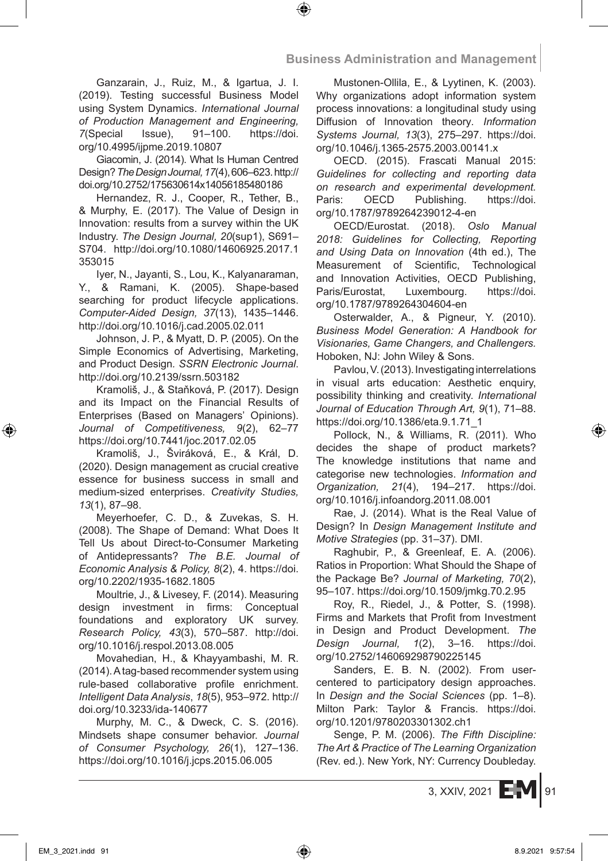Ganzarain, J., Ruiz, M., & Igartua, J. I. (2019). Testing successful Business Model using System Dynamics. *International Journal of Production Management and Engineering, 7*(Special Issue), 91–100. https://doi. org/10.4995/ijpme.2019.10807

Giacomin, J. (2014). What Is Human Centred Design? *The Design Journal, 17*(4), 606–623. http:// doi.org/10.2752/175630614x14056185480186

Hernandez, R. J., Cooper, R., Tether, B., & Murphy, E. (2017). The Value of Design in Innovation: results from a survey within the UK Industry. *The Design Journal, 20*(sup1), S691– S704. http://doi.org/10.1080/14606925.2017.1 353015

Iyer, N., Jayanti, S., Lou, K., Kalyanaraman, Y., & Ramani, K. (2005). Shape-based searching for product lifecycle applications. *Computer-Aided Design, 37*(13), 1435–1446. http://doi.org/10.1016/j.cad.2005.02.011

Johnson, J. P., & Myatt, D. P. (2005). On the Simple Economics of Advertising, Marketing, and Product Design*. SSRN Electronic Journal*. http://doi.org/10.2139/ssrn.503182

Kramoliš, J., & Staňková, P. (2017). Design and its Impact on the Financial Results of Enterprises (Based on Managers' Opinions). *Journal of Competitiveness, 9*(2), 62–77 https://doi.org/10.7441/joc.2017.02.05

Kramoliš, J., Šviráková, E., & Král, D. (2020). Design management as crucial creative essence for business success in small and medium-sized enterprises. *Creativity Studies, 13*(1), 87–98.

Meyerhoefer, C. D., & Zuvekas, S. H. (2008). The Shape of Demand: What Does It Tell Us about Direct-to-Consumer Marketing of Antidepressants? *The B.E. Journal of Economic Analysis & Policy, 8*(2), 4. https://doi. org/10.2202/1935-1682.1805

Moultrie, J., & Livesey, F. (2014). Measuring design investment in firms: Conceptual foundations and exploratory UK survey. *Research Policy, 43*(3), 570–587. http://doi. org/10.1016/j.respol.2013.08.005

Movahedian, H., & Khayyambashi, M. R. (2014). Atag-based recommender system using rule-based collaborative profile enrichment. *Intelligent Data Analysis*, *18*(5), 953–972. http:// doi.org/10.3233/ida-140677

Murphy, M. C., & Dweck, C. S. (2016). Mindsets shape consumer behavior. *Journal of Consumer Psychology, 26*(1), 127–136. https://doi.org/10.1016/j.jcps.2015.06.005

Mustonen-Ollila, E., & Lyytinen, K. (2003). Why organizations adopt information system process innovations: a longitudinal study using Diffusion of Innovation theory*. Information Systems Journal, 13*(3), 275–297. https://doi. org/10.1046/j.1365-2575.2003.00141.x

OECD. (2015). Frascati Manual 2015: *Guidelines for collecting and reporting data on research and experimental development.* Paris: OECD Publishing. https://doi. org/10.1787/9789264239012-4-en

OECD/Eurostat. (2018). *Oslo Manual 2018: Guidelines for Collecting, Reporting and Using Data on Innovation* (4th ed.), The Measurement of Scientific, Technological and Innovation Activities, OECD Publishing, Paris/Eurostat, Luxembourg. https://doi. org/10.1787/9789264304604-en

Osterwalder, A., & Pigneur, Y. (2010). *Business Model Generation: A Handbook for Visionaries, Game Changers, and Challengers.* Hoboken, NJ: John Wiley & Sons.

Pavlou, V. (2013). Investigating interrelations in visual arts education: Aesthetic enquiry, possibility thinking and creativity. *International Journal of Education Through Art, 9*(1), 71–88. https://doi.org/10.1386/eta.9.1.71\_1

Pollock, N., & Williams, R. (2011). Who decides the shape of product markets? The knowledge institutions that name and categorise new technologies. *Information and Organization, 21*(4), 194–217. https://doi. org/10.1016/j.infoandorg.2011.08.001

Rae, J. (2014). What is the Real Value of Design? In *Design Management Institute and Motive Strategies* (pp. 31–37). DMI.

Raghubir, P., & Greenleaf, E. A. (2006). Ratios in Proportion: What Should the Shape of the Package Be? *Journal of Marketing, 70*(2), 95–107. https://doi.org/10.1509/jmkg.70.2.95

Roy, R., Riedel, J., & Potter, S. (1998). Firms and Markets that Profit from Investment in Design and Product Development. *The Design Journal, 1*(2), 3–16. https://doi. org/10.2752/146069298790225145

Sanders, E. B. N. (2002). From usercentered to participatory design approaches. In *Design and the Social Sciences* (pp. 1–8). Milton Park: Taylor & Francis. https://doi. org/10.1201/9780203301302.ch1

Senge, P. M. (2006). *The Fifth Discipline: The Art & Practice of The Learning Organization* (Rev. ed.). New York, NY: Currency Doubleday.